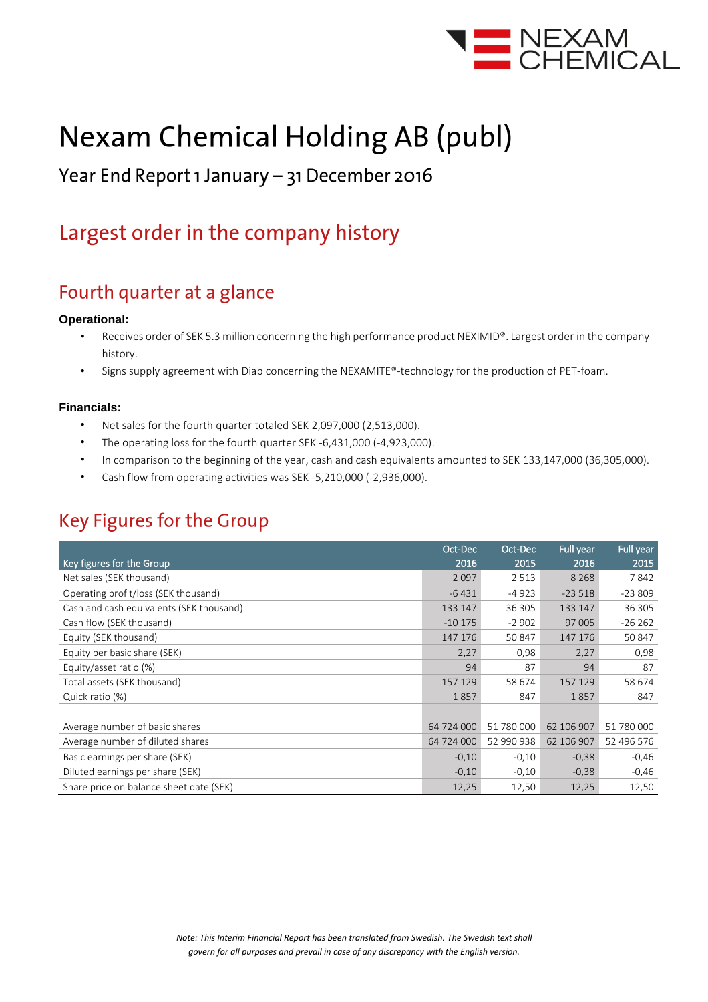

# **Nexam Chemical Holding AB (publ)**

### Year End Report 1 January - 31 December 2016

### Largest order in the company history

### Fourth quarter at a glance

#### **Operational:**

- Receives order of SEK 5.3 million concerning the high performance product NEXIMID®. Largest order in the company history.
- Signs supply agreement with Diab concerning the NEXAMITE®-technology for the production of PET-foam.

#### **Financials:**

- Net sales for the fourth quarter totaled SEK 2,097,000 (2,513,000).
- The operating loss for the fourth quarter SEK -6,431,000 (-4,923,000).
- In comparison to the beginning of the year, cash and cash equivalents amounted to SEK 133,147,000 (36,305,000).
- Cash flow from operating activities was SEK -5,210,000 (-2,936,000).

### **Key Figures for the Group**

|                                          | Oct-Dec    | Oct-Dec    | <b>Full year</b> | Full year  |
|------------------------------------------|------------|------------|------------------|------------|
| Key figures for the Group                | 2016       | 2015       | 2016             | 2015       |
| Net sales (SEK thousand)                 | 2 0 9 7    | 2 5 1 3    | 8 2 6 8          | 7842       |
| Operating profit/loss (SEK thousand)     | $-6431$    | -4 923     | $-23518$         | $-23809$   |
| Cash and cash equivalents (SEK thousand) | 133 147    | 36 305     | 133 147          | 36 305     |
| Cash flow (SEK thousand)                 | $-10175$   | $-2902$    | 97 005           | $-26262$   |
| Equity (SEK thousand)                    | 147 176    | 50 847     | 147 176          | 50 847     |
| Equity per basic share (SEK)             | 2,27       | 0,98       | 2,27             | 0,98       |
| Equity/asset ratio (%)                   | 94         | 87         | 94               | 87         |
| Total assets (SEK thousand)              | 157 129    | 58 674     | 157 129          | 58 674     |
| Quick ratio (%)                          | 1857       | 847        | 1857             | 847        |
|                                          |            |            |                  |            |
| Average number of basic shares           | 64 724 000 | 51 780 000 | 62 106 907       | 51 780 000 |
| Average number of diluted shares         | 64 724 000 | 52 990 938 | 62 106 907       | 52 496 576 |
| Basic earnings per share (SEK)           | $-0,10$    | $-0,10$    | $-0,38$          | $-0,46$    |
| Diluted earnings per share (SEK)         | $-0,10$    | $-0,10$    | $-0,38$          | $-0,46$    |
| Share price on balance sheet date (SEK)  | 12,25      | 12,50      | 12,25            | 12,50      |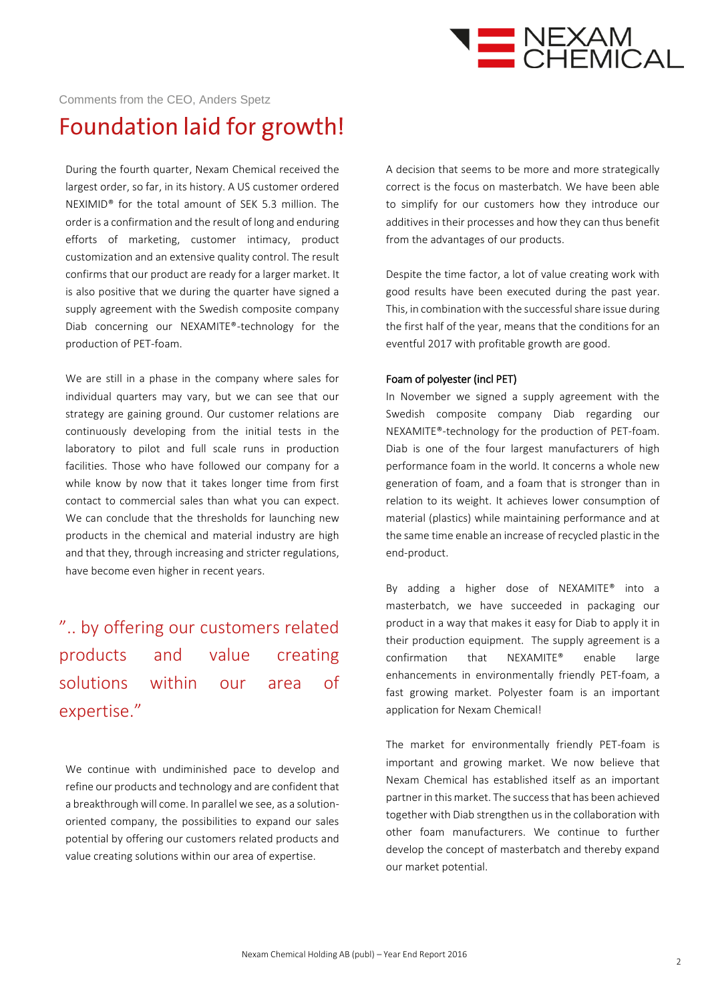

#### Comments from the CEO, Anders Spetz

### Foundation laid for growth!

During the fourth quarter, Nexam Chemical received the largest order, so far, in its history. A US customer ordered NEXIMID® for the total amount of SEK 5.3 million. The order is a confirmation and the result of long and enduring efforts of marketing, customer intimacy, product customization and an extensive quality control. The result confirms that our product are ready for a larger market. It is also positive that we during the quarter have signed a supply agreement with the Swedish composite company Diab concerning our NEXAMITE®-technology for the production of PET-foam.

We are still in a phase in the company where sales for individual quarters may vary, but we can see that our strategy are gaining ground. Our customer relations are continuously developing from the initial tests in the laboratory to pilot and full scale runs in production facilities. Those who have followed our company for a while know by now that it takes longer time from first contact to commercial sales than what you can expect. We can conclude that the thresholds for launching new products in the chemical and material industry are high and that they, through increasing and stricter regulations, have become even higher in recent years.

### ".. by offering our customers related products and value creating solutions within our area of expertise."

We continue with undiminished pace to develop and refine our products and technology and are confident that a breakthrough will come. In parallel we see, as a solutionoriented company, the possibilities to expand our sales potential by offering our customers related products and value creating solutions within our area of expertise.

A decision that seems to be more and more strategically correct is the focus on masterbatch. We have been able to simplify for our customers how they introduce our additives in their processes and how they can thus benefit from the advantages of our products.

Despite the time factor, a lot of value creating work with good results have been executed during the past year. This, in combination with the successful share issue during the first half of the year, means that the conditions for an eventful 2017 with profitable growth are good.

#### Foam of polyester (incl PET)

In November we signed a supply agreement with the Swedish composite company Diab regarding our NEXAMITE®-technology for the production of PET-foam. Diab is one of the four largest manufacturers of high performance foam in the world. It concerns a whole new generation of foam, and a foam that is stronger than in relation to its weight. It achieves lower consumption of material (plastics) while maintaining performance and at the same time enable an increase of recycled plastic in the end-product.

By adding a higher dose of NEXAMITE® into a masterbatch, we have succeeded in packaging our product in a way that makes it easy for Diab to apply it in their production equipment. The supply agreement is a confirmation that NEXAMITE® enable large enhancements in environmentally friendly PET-foam, a fast growing market. Polyester foam is an important application for Nexam Chemical!

The market for environmentally friendly PET-foam is important and growing market. We now believe that Nexam Chemical has established itself as an important partner in this market. The successthat has been achieved together with Diab strengthen us in the collaboration with other foam manufacturers. We continue to further develop the concept of masterbatch and thereby expand our market potential.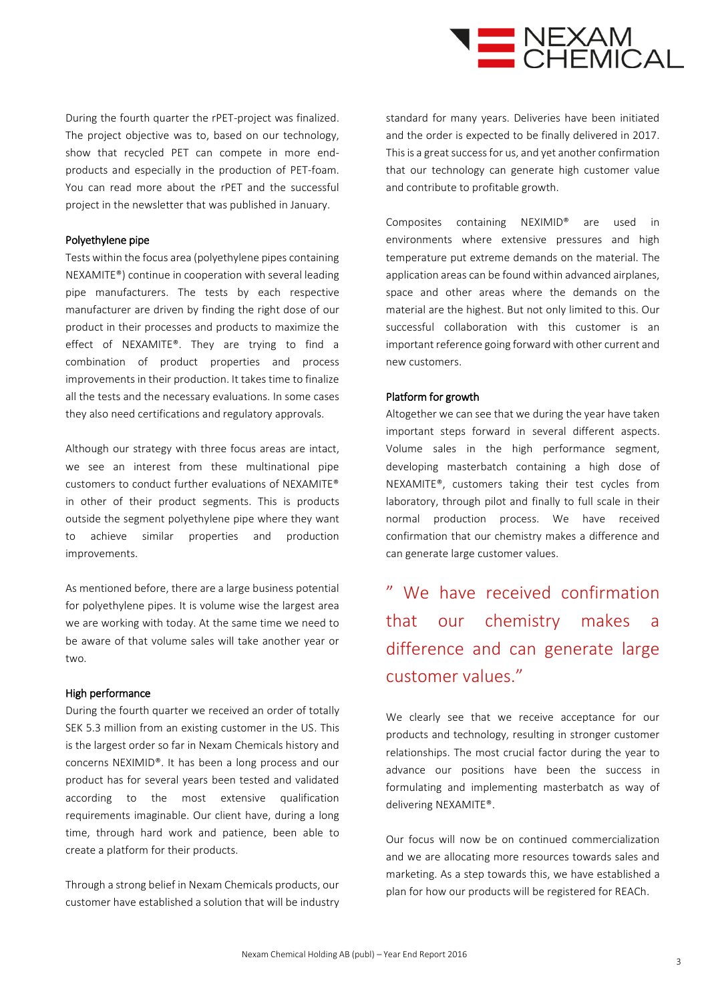

During the fourth quarter the rPET-project was finalized. The project objective was to, based on our technology, show that recycled PET can compete in more endproducts and especially in the production of PET-foam. You can read more about the rPET and the successful project in the newsletter that was published in January.

#### Polyethylene pipe

Tests within the focus area (polyethylene pipes containing NEXAMITE®) continue in cooperation with several leading pipe manufacturers. The tests by each respective manufacturer are driven by finding the right dose of our product in their processes and products to maximize the effect of NEXAMITE®. They are trying to find a combination of product properties and process improvements in their production. It takes time to finalize all the tests and the necessary evaluations. In some cases they also need certifications and regulatory approvals.

Although our strategy with three focus areas are intact, we see an interest from these multinational pipe customers to conduct further evaluations of NEXAMITE® in other of their product segments. This is products outside the segment polyethylene pipe where they want to achieve similar properties and production improvements.

As mentioned before, there are a large business potential for polyethylene pipes. It is volume wise the largest area we are working with today. At the same time we need to be aware of that volume sales will take another year or two.

#### High performance

During the fourth quarter we received an order of totally SEK 5.3 million from an existing customer in the US. This is the largest order so far in Nexam Chemicals history and concerns NEXIMID®. It has been a long process and our product has for several years been tested and validated according to the most extensive qualification requirements imaginable. Our client have, during a long time, through hard work and patience, been able to create a platform for their products.

Through a strong belief in Nexam Chemicals products, our customer have established a solution that will be industry standard for many years. Deliveries have been initiated and the order is expected to be finally delivered in 2017. This is a great success for us, and yet another confirmation that our technology can generate high customer value and contribute to profitable growth.

Composites containing NEXIMID® are used in environments where extensive pressures and high temperature put extreme demands on the material. The application areas can be found within advanced airplanes, space and other areas where the demands on the material are the highest. But not only limited to this. Our successful collaboration with this customer is an important reference going forward with other current and new customers.

#### Platform for growth

Altogether we can see that we during the year have taken important steps forward in several different aspects. Volume sales in the high performance segment, developing masterbatch containing a high dose of NEXAMITE®, customers taking their test cycles from laboratory, through pilot and finally to full scale in their normal production process. We have received confirmation that our chemistry makes a difference and can generate large customer values.

" We have received confirmation that our chemistry makes a difference and can generate large customer values."

We clearly see that we receive acceptance for our products and technology, resulting in stronger customer relationships. The most crucial factor during the year to advance our positions have been the success in formulating and implementing masterbatch as way of delivering NEXAMITE®.

Our focus will now be on continued commercialization and we are allocating more resources towards sales and marketing. As a step towards this, we have established a plan for how our products will be registered for REACh.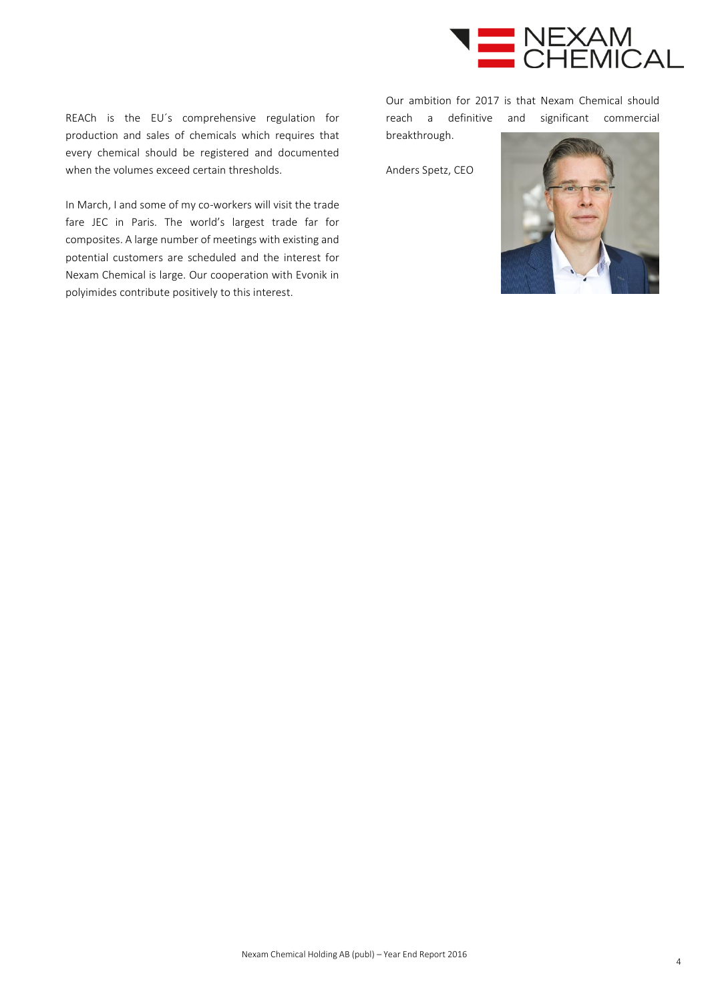

REACh is the EU´s comprehensive regulation for production and sales of chemicals which requires that every chemical should be registered and documented when the volumes exceed certain thresholds.

In March, I and some of my co-workers will visit the trade fare JEC in Paris. The world's largest trade far for composites. A large number of meetings with existing and potential customers are scheduled and the interest for Nexam Chemical is large. Our cooperation with Evonik in polyimides contribute positively to this interest.

Our ambition for 2017 is that Nexam Chemical should reach a definitive and significant commercial breakthrough.

Anders Spetz, CEO

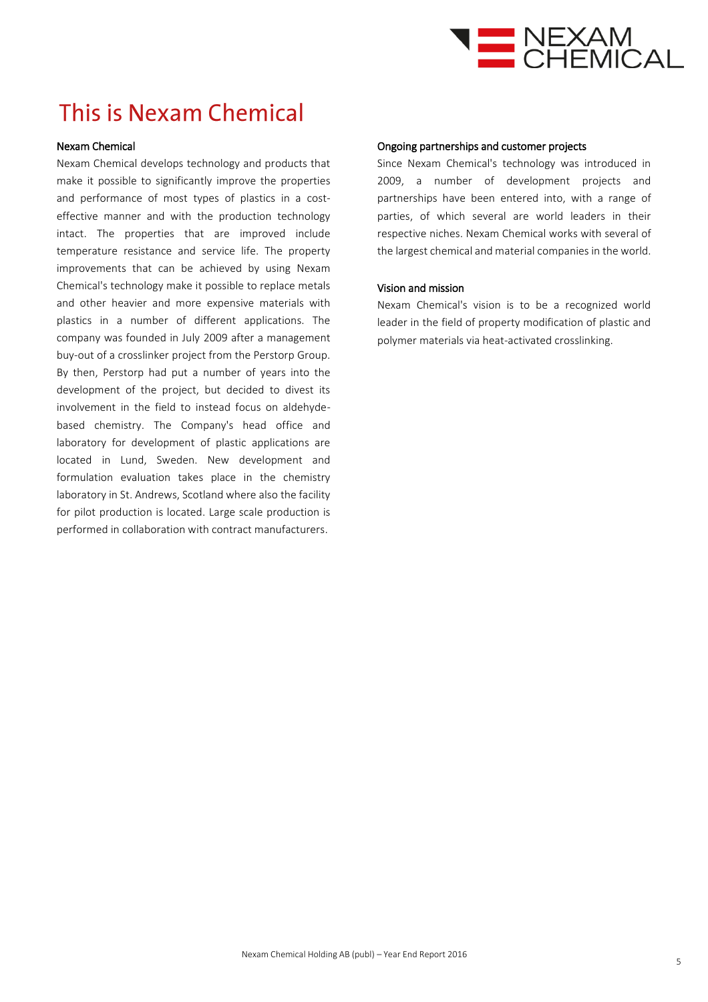

### This is Nexam Chemical

#### Nexam Chemical

Nexam Chemical develops technology and products that make it possible to significantly improve the properties and performance of most types of plastics in a costeffective manner and with the production technology intact. The properties that are improved include temperature resistance and service life. The property improvements that can be achieved by using Nexam Chemical's technology make it possible to replace metals and other heavier and more expensive materials with plastics in a number of different applications. The company was founded in July 2009 after a management buy-out of a crosslinker project from the Perstorp Group. By then, Perstorp had put a number of years into the development of the project, but decided to divest its involvement in the field to instead focus on aldehydebased chemistry. The Company's head office and laboratory for development of plastic applications are located in Lund, Sweden. New development and formulation evaluation takes place in the chemistry laboratory in St. Andrews, Scotland where also the facility for pilot production is located. Large scale production is performed in collaboration with contract manufacturers.

#### Ongoing partnerships and customer projects

Since Nexam Chemical's technology was introduced in 2009, a number of development projects and partnerships have been entered into, with a range of parties, of which several are world leaders in their respective niches. Nexam Chemical works with several of the largest chemical and material companies in the world.

#### Vision and mission

Nexam Chemical's vision is to be a recognized world leader in the field of property modification of plastic and polymer materials via heat-activated crosslinking.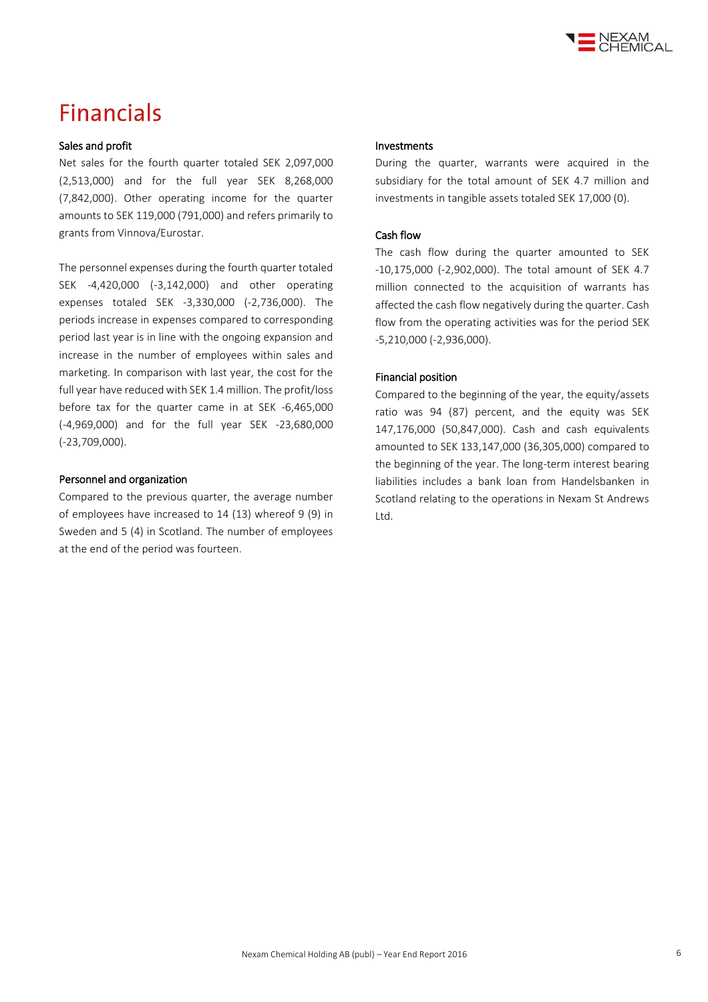

### **Financials**

#### Sales and profit

Net sales for the fourth quarter totaled SEK 2,097,000 (2,513,000) and for the full year SEK 8,268,000 (7,842,000). Other operating income for the quarter amounts to SEK 119,000 (791,000) and refers primarily to grants from Vinnova/Eurostar.

The personnel expenses during the fourth quarter totaled SEK -4,420,000 (-3,142,000) and other operating expenses totaled SEK -3,330,000 (-2,736,000). The periods increase in expenses compared to corresponding period last year is in line with the ongoing expansion and increase in the number of employees within sales and marketing. In comparison with last year, the cost for the full year have reduced with SEK 1.4 million. The profit/loss before tax for the quarter came in at SEK -6,465,000 (-4,969,000) and for the full year SEK -23,680,000 (-23,709,000).

#### Personnel and organization

Compared to the previous quarter, the average number of employees have increased to 14 (13) whereof 9 (9) in Sweden and 5 (4) in Scotland. The number of employees at the end of the period was fourteen.

#### Investments

During the quarter, warrants were acquired in the subsidiary for the total amount of SEK 4.7 million and investments in tangible assets totaled SEK 17,000 (0).

#### Cash flow

The cash flow during the quarter amounted to SEK -10,175,000 (-2,902,000). The total amount of SEK 4.7 million connected to the acquisition of warrants has affected the cash flow negatively during the quarter. Cash flow from the operating activities was for the period SEK -5,210,000 (-2,936,000).

#### Financial position

Compared to the beginning of the year, the equity/assets ratio was 94 (87) percent, and the equity was SEK 147,176,000 (50,847,000). Cash and cash equivalents amounted to SEK 133,147,000 (36,305,000) compared to the beginning of the year. The long-term interest bearing liabilities includes a bank loan from Handelsbanken in Scotland relating to the operations in Nexam St Andrews Ltd.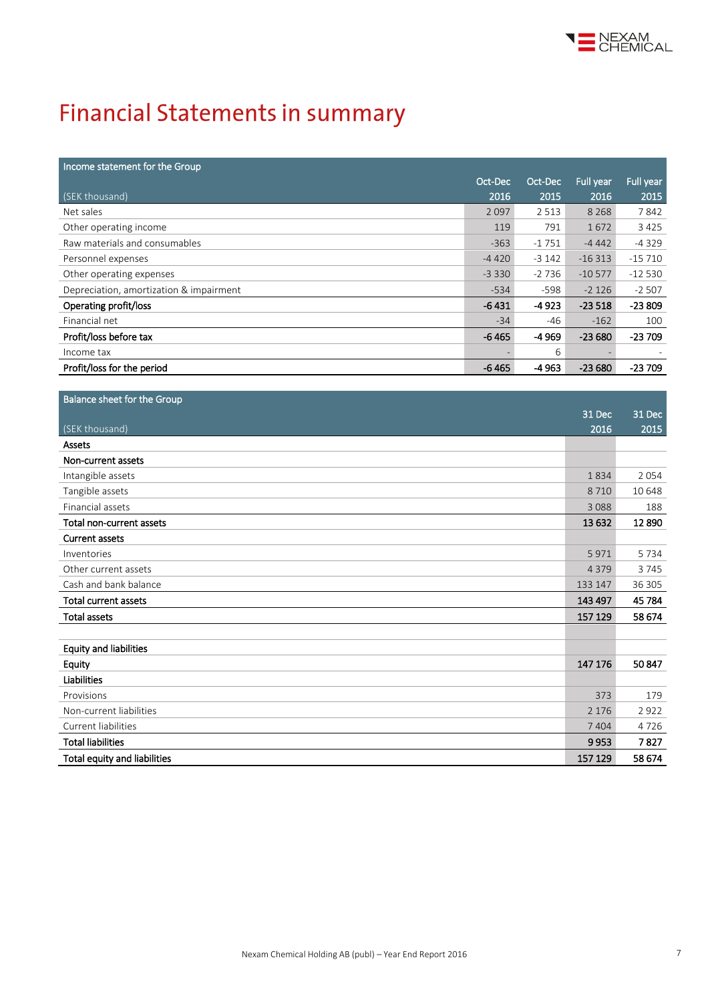

# **Financial Statements in summary**

l

| Income statement for the Group          |         |         |           |           |
|-----------------------------------------|---------|---------|-----------|-----------|
|                                         | Oct-Dec | Oct-Dec | Full year | Full year |
| (SEK thousand)                          | 2016    | 2015    | 2016      | 2015      |
| Net sales                               | 2097    | 2 5 1 3 | 8 2 6 8   | 7842      |
| Other operating income                  | 119     | 791     | 1672      | 3 4 2 5   |
| Raw materials and consumables           | $-363$  | $-1751$ | $-4442$   | $-4329$   |
| Personnel expenses                      | $-4420$ | $-3142$ | $-16313$  | $-15710$  |
| Other operating expenses                | $-3330$ | $-2736$ | $-10577$  | $-12530$  |
| Depreciation, amortization & impairment | $-534$  | $-598$  | $-2126$   | $-2507$   |
| Operating profit/loss                   | $-6431$ | $-4923$ | $-23518$  | $-23809$  |
| Financial net                           | $-34$   | -46     | $-162$    | 100       |
| Profit/loss before tax                  | $-6465$ | -4 969  | $-23680$  | $-23709$  |
| Income tax                              |         | 6       |           |           |
| Profit/loss for the period              | $-6465$ | $-4963$ | $-23680$  | $-23709$  |

| Balance sheet for the Group   |         |         |
|-------------------------------|---------|---------|
|                               | 31 Dec  | 31 Dec  |
| (SEK thousand)                | 2016    | 2015    |
| Assets                        |         |         |
| Non-current assets            |         |         |
| Intangible assets             | 1834    | 2054    |
| Tangible assets               | 8710    | 10 648  |
| Financial assets              | 3088    | 188     |
| Total non-current assets      | 13 6 32 | 12890   |
| <b>Current assets</b>         |         |         |
| Inventories                   | 5971    | 5 7 3 4 |
| Other current assets          | 4 3 7 9 | 3745    |
| Cash and bank balance         | 133 147 | 36 305  |
| Total current assets          | 143 497 | 45 784  |
| <b>Total assets</b>           | 157 129 | 58 674  |
|                               |         |         |
| <b>Equity and liabilities</b> |         |         |
| Equity                        | 147 176 | 50847   |
| Liabilities                   |         |         |
| Provisions                    | 373     | 179     |
| Non-current liabilities       | 2 1 7 6 | 2922    |
| Current liabilities           | 7 4 0 4 | 4726    |
| <b>Total liabilities</b>      | 9953    | 7827    |
| Total equity and liabilities  | 157 129 | 58 674  |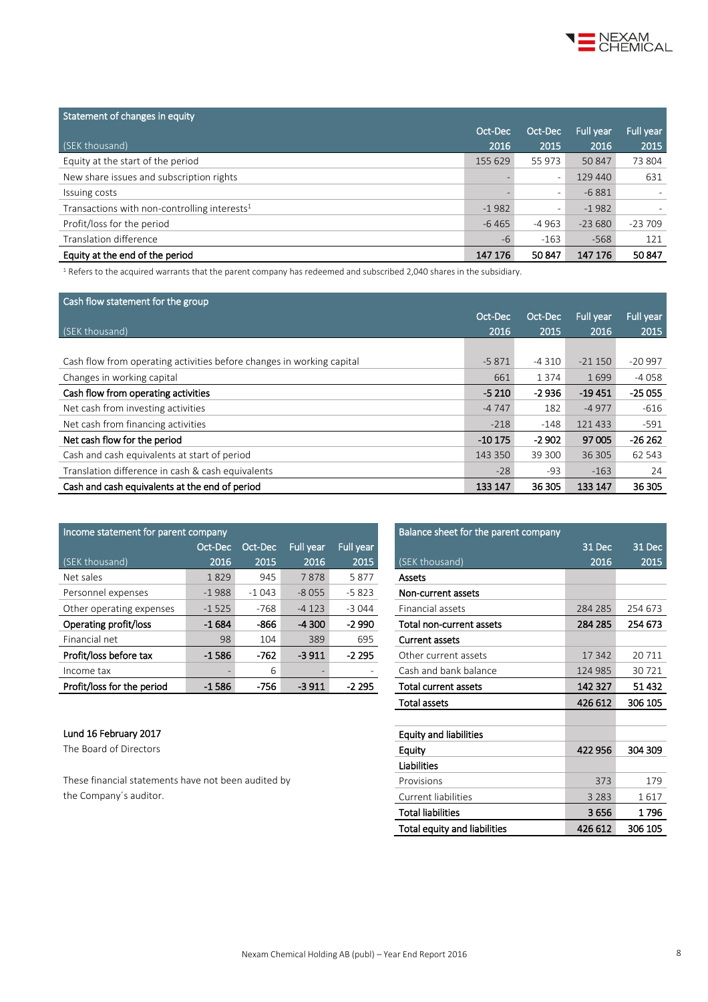

| Statement of changes in equity                  |         |                          |           |                          |
|-------------------------------------------------|---------|--------------------------|-----------|--------------------------|
|                                                 | Oct-Dec | Oct-Dec                  | Full year | Full year                |
| (SEK thousand)                                  | 2016    | 2015                     | 2016      | 2015                     |
| Equity at the start of the period               | 155 629 | 55 973                   | 50847     | 73 804                   |
| New share issues and subscription rights        |         | $\overline{\phantom{a}}$ | 129 440   | 631                      |
| Issuing costs                                   |         | $\overline{\phantom{0}}$ | $-6881$   | $\overline{\phantom{a}}$ |
| Transactions with non-controlling interests $1$ | $-1982$ | $\qquad \qquad -$        | $-1982$   |                          |
| Profit/loss for the period                      | $-6465$ | $-4963$                  | $-23680$  | $-23709$                 |
| Translation difference                          | $-6$    | $-163$                   | $-568$    | 121                      |
| Equity at the end of the period                 | 147 176 | 50847                    | 147 176   | 50 847                   |

 $1$  Refers to the acquired warrants that the parent company has redeemed and subscribed 2,040 shares in the subsidiary.

| Cash flow statement for the group                                     |          |         |           |           |
|-----------------------------------------------------------------------|----------|---------|-----------|-----------|
|                                                                       | Oct-Dec  | Oct-Dec | Full year | Full year |
| (SEK thousand)                                                        | 2016     | 2015    | 2016      | 2015      |
|                                                                       |          |         |           |           |
| Cash flow from operating activities before changes in working capital | $-5871$  | $-4310$ | $-21150$  | $-20997$  |
| Changes in working capital                                            | 661      | 1374    | 1699      | $-4058$   |
| Cash flow from operating activities                                   | $-5210$  | $-2936$ | $-19451$  | $-25055$  |
| Net cash from investing activities                                    | $-4747$  | 182     | $-4977$   | $-616$    |
| Net cash from financing activities                                    | $-218$   | $-148$  | 121 433   | $-591$    |
| Net cash flow for the period                                          | $-10175$ | $-2902$ | 97 005    | $-26262$  |
| Cash and cash equivalents at start of period                          | 143 350  | 39 300  | 36 30 5   | 62 543    |
| Translation difference in cash & cash equivalents                     | $-28$    | -93     | $-163$    | 24        |
| Cash and cash equivalents at the end of period                        | 133 147  | 36 305  | 133 147   | 36 305    |

| Income statement for parent company |         |         |           | Balance sheet for the parent company |                          |         |         |
|-------------------------------------|---------|---------|-----------|--------------------------------------|--------------------------|---------|---------|
|                                     | Oct-Dec | Oct-Dec | Full year | Full year                            |                          | 31 Dec  | 31 Dec  |
| (SEK thousand)                      | 2016    | 2015    | 2016      | 2015                                 | (SEK thousand)           | 2016    | 2015    |
| Net sales                           | 1829    | 945     | 7878      | 5877                                 | Assets                   |         |         |
| Personnel expenses                  | $-1988$ | $-1043$ | $-8055$   | $-5823$                              | Non-current assets       |         |         |
| Other operating expenses            | $-1525$ | -768    | $-4123$   | $-3044$                              | Financial assets         | 284 285 | 254 673 |
| Operating profit/loss               | $-1684$ | -866    | $-4300$   | $-2990$                              | Total non-current assets | 284 285 | 254 673 |
| Financial net                       | 98      | 104     | 389       | 695                                  | <b>Current assets</b>    |         |         |
| Profit/loss before tax              | $-1586$ | $-762$  | $-3911$   | $-2295$                              | Other current assets     | 17 342  | 20 7 11 |
| Income tax                          |         | 6       |           |                                      | Cash and bank balance    | 124 985 | 30721   |
| Profit/loss for the period          | $-1586$ | $-756$  | $-3911$   | $-2295$                              | Total current assets     | 142 327 | 51432   |

#### Lund 16 February 2017

The Board of Directors

These financial statements have not been audited by the Company's auditor.

| Balance sheet for the parent company |         |         |
|--------------------------------------|---------|---------|
|                                      | 31 Dec  | 31 Dec  |
| (SEK thousand)                       | 2016    | 2015    |
| Assets                               |         |         |
| Non-current assets                   |         |         |
| Financial assets                     | 284 285 | 254 673 |
| Total non-current assets             | 284 285 | 254 673 |
| <b>Current assets</b>                |         |         |
| Other current assets                 | 17342   | 20711   |
| Cash and bank balance                | 124 985 | 30 721  |
| Total current assets                 | 142 327 | 51432   |
| <b>Total assets</b>                  | 426 612 | 306 105 |
|                                      |         |         |
| <b>Equity and liabilities</b>        |         |         |
| Equity                               | 422 956 | 304 309 |
| Liabilities                          |         |         |
| Provisions                           | 373     | 179     |
| Current liabilities                  | 3 2 8 3 | 1617    |
| Total liabilities                    | 3656    | 1 796   |
| Total equity and liabilities         | 426 612 | 306 105 |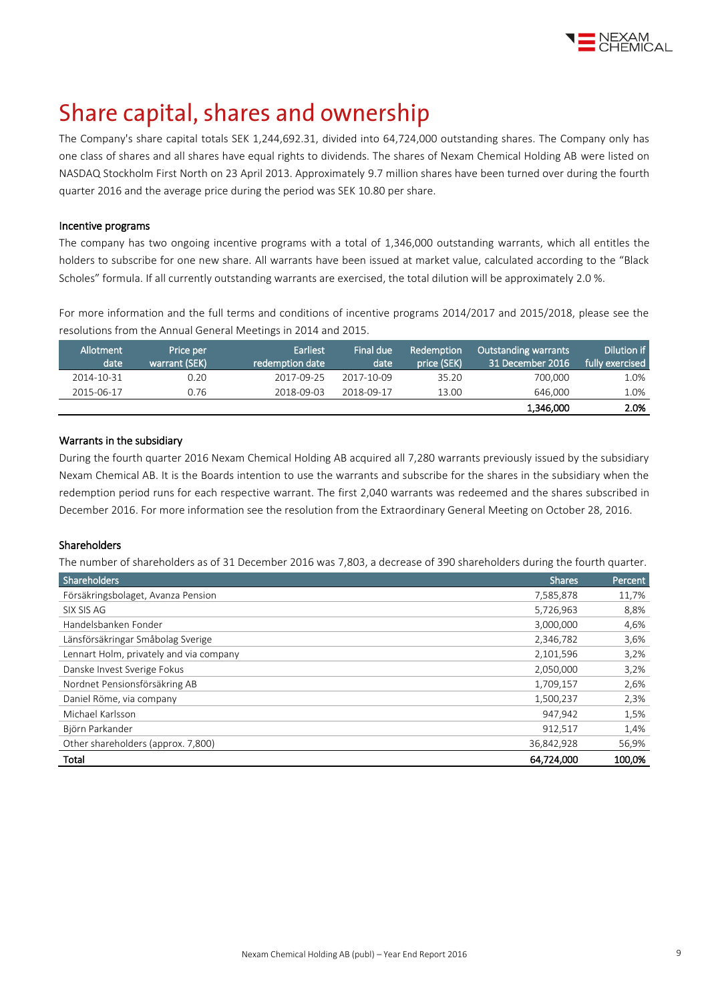

## Share capital, shares and ownership

The Company's share capital totals SEK 1,244,692.31, divided into 64,724,000 outstanding shares. The Company only has one class of shares and all shares have equal rights to dividends. The shares of Nexam Chemical Holding AB were listed on NASDAQ Stockholm First North on 23 April 2013. Approximately 9.7 million shares have been turned over during the fourth quarter 2016 and the average price during the period was SEK 10.80 per share.

#### Incentive programs

The company has two ongoing incentive programs with a total of 1,346,000 outstanding warrants, which all entitles the holders to subscribe for one new share. All warrants have been issued at market value, calculated according to the "Black Scholes" formula. If all currently outstanding warrants are exercised, the total dilution will be approximately 2.0 %.

For more information and the full terms and conditions of incentive programs 2014/2017 and 2015/2018, please see the resolutions from the Annual General Meetings in 2014 and [2015.](http://www.nexamchemical.com/secure/CMS/?language=en#context=epi.cms.contentdata:///245&viewsetting=active:///true)

| Allotment<br>date | Price per<br>warrant (SEK) | Earliest<br>redemption date | Final due<br>date | Redemption<br>price (SEK) | <b>Outstanding warrants</b><br>31 December 2016 | Dilution if<br>fully exercised |
|-------------------|----------------------------|-----------------------------|-------------------|---------------------------|-------------------------------------------------|--------------------------------|
| 2014-10-31        | 0.20                       | 2017-09-25                  | 2017-10-09        | 35.20                     | 700.000                                         | 1.0%                           |
| 2015-06-17        | 0.76                       | 2018-09-03                  | 2018-09-17        | 13.00                     | 646.000                                         | 1.0%                           |
|                   |                            |                             |                   |                           | 1,346,000                                       | 2.0%                           |

#### Warrants in the subsidiary

During the fourth quarter 2016 Nexam Chemical Holding AB acquired all 7,280 warrants previously issued by the subsidiary Nexam Chemical AB. It is the Boards intention to use the warrants and subscribe for the shares in the subsidiary when the redemption period runs for each respective warrant. The first 2,040 warrants was redeemed and the shares subscribed in December 2016. For more information see the resolution from the Extraordinary General Meeting on October 28, 2016.

#### Shareholders

The number of shareholders as of 31 December 2016 was 7,803, a decrease of 390 shareholders during the fourth quarter.

| <b>Shareholders</b>                     | <b>Shares</b> | Percent |
|-----------------------------------------|---------------|---------|
| Försäkringsbolaget, Avanza Pension      | 7,585,878     | 11,7%   |
| SIX SIS AG                              | 5,726,963     | 8,8%    |
| Handelsbanken Fonder                    | 3,000,000     | 4,6%    |
| Länsförsäkringar Småbolag Sverige       | 2,346,782     | 3,6%    |
| Lennart Holm, privately and via company | 2,101,596     | 3,2%    |
| Danske Invest Sverige Fokus             | 2,050,000     | 3,2%    |
| Nordnet Pensionsförsäkring AB           | 1,709,157     | 2,6%    |
| Daniel Röme, via company                | 1,500,237     | 2,3%    |
| Michael Karlsson                        | 947,942       | 1,5%    |
| Björn Parkander                         | 912.517       | 1,4%    |
| Other shareholders (approx. 7,800)      | 36,842,928    | 56,9%   |
| Total                                   | 64,724,000    | 100,0%  |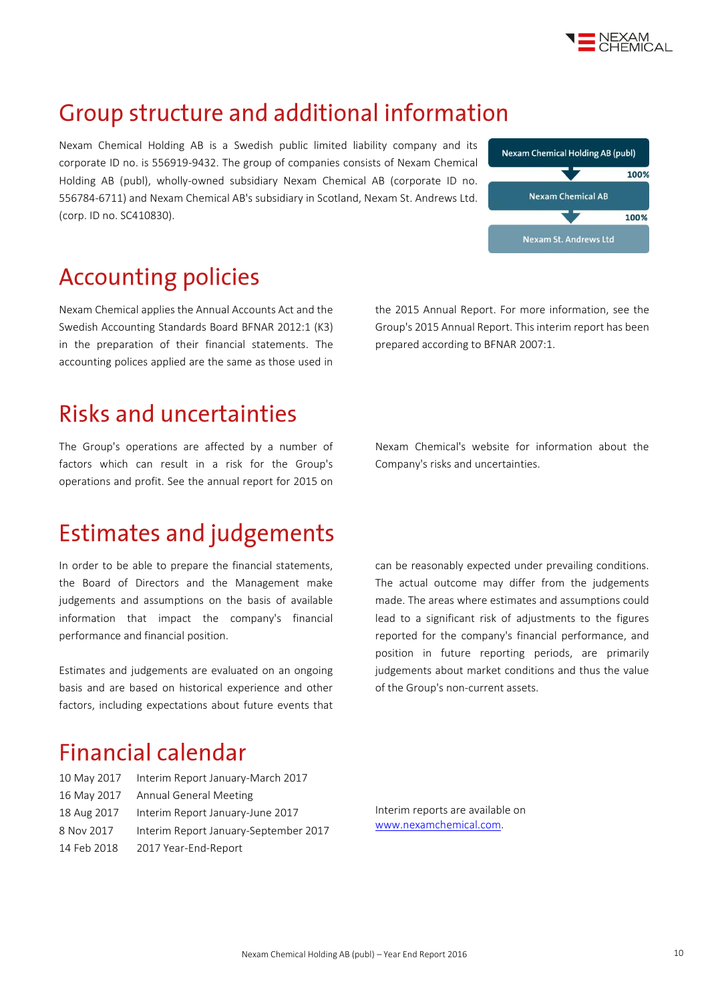

### Group structure and additional information

Nexam Chemical Holding AB is a Swedish public limited liability company and its corporate ID no. is 556919-9432. The group of companies consists of Nexam Chemical Holding AB (publ), wholly-owned subsidiary Nexam Chemical AB (corporate ID no. 556784-6711) and Nexam Chemical AB's subsidiary in Scotland, Nexam St. Andrews Ltd. (corp. ID no. SC410830).



### **Accounting policies**

Nexam Chemical applies the Annual Accounts Act and the Swedish Accounting Standards Board BFNAR 2012:1 (K3) in the preparation of their financial statements. The accounting polices applied are the same as those used in

### **Risks and uncertainties**

The Group's operations are affected by a number of factors which can result in a risk for the Group's operations and profit. See the annual report for 2015 on

# **Estimates and judgements**

In order to be able to prepare the financial statements, the Board of Directors and the Management make judgements and assumptions on the basis of available information that impact the company's financial performance and financial position.

Estimates and judgements are evaluated on an ongoing basis and are based on historical experience and other factors, including expectations about future events that the 2015 Annual Report. For more information, see the Group's 2015 Annual Report. This interim report has been prepared according to BFNAR 2007:1.

Nexam Chemical's website for information about the Company's risks and uncertainties.

can be reasonably expected under prevailing conditions. The actual outcome may differ from the judgements made. The areas where estimates and assumptions could lead to a significant risk of adjustments to the figures reported for the company's financial performance, and position in future reporting periods, are primarily judgements about market conditions and thus the value of the Group's non-current assets.

### **Financial calendar**

| 10 May 2017 | Interim Report January-March 2017     |
|-------------|---------------------------------------|
| 16 May 2017 | Annual General Meeting                |
| 18 Aug 2017 | Interim Report January-June 2017      |
| 8 Nov 2017  | Interim Report January-September 2017 |
| 14 Feb 2018 | 2017 Year-End-Report                  |

Interim reports are available on [www.nexamchemical.com.](http://www.nexamchemical.com/)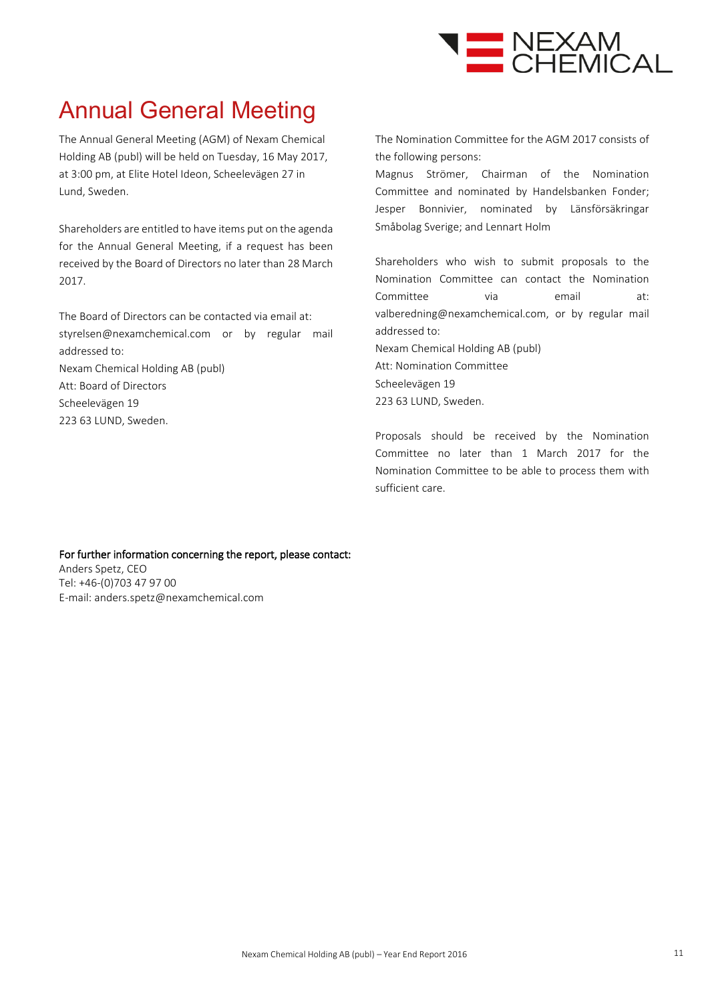

# Annual General Meeting

The Annual General Meeting (AGM) of Nexam Chemical Holding AB (publ) will be held on Tuesday, 16 May 2017, at 3:00 pm, at Elite Hotel Ideon, Scheelevägen 27 in Lund, Sweden.

Shareholders are entitled to have items put on the agenda for the Annual General Meeting, if a request has been received by the Board of Directors no later than 28 March 2017.

The Board of Directors can be contacted via email at: styrelsen@nexamchemical.com or by regular mail addressed to: Nexam Chemical Holding AB (publ) Att: Board of Directors

Scheelevägen 19

223 63 LUND, Sweden.

The Nomination Committee for the AGM 2017 consists of the following persons:

Magnus Strömer, Chairman of the Nomination Committee and nominated by Handelsbanken Fonder; Jesper Bonnivier, nominated by Länsförsäkringar Småbolag Sverige; and Lennart Holm

Shareholders who wish to submit proposals to the Nomination Committee can contact the Nomination Committee via email at: valberedning@nexamchemical.com, or by regular mail addressed to: Nexam Chemical Holding AB (publ) Att: Nomination Committee Scheelevägen 19

223 63 LUND, Sweden.

Proposals should be received by the Nomination Committee no later than 1 March 2017 for the Nomination Committee to be able to process them with sufficient care.

#### For further information concerning the report, please contact: Anders Spetz, CEO Tel: +46-(0)703 47 97 00 E-mail: anders.spetz@nexamchemical.com